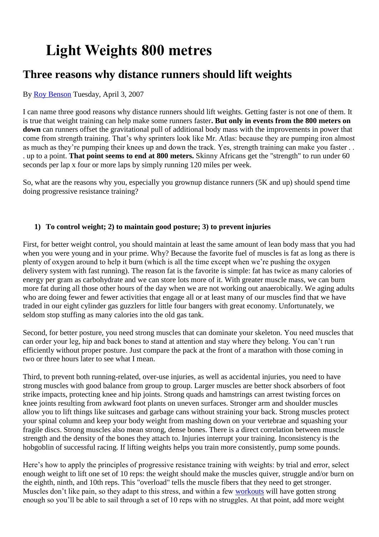## **Light Weights 800 metres**

## **Three reasons why distance runners should lift weights**

## By [Roy Benson](http://www.runnersworld.com/person/roy-benson) Tuesday, April 3, 2007

I can name three good reasons why distance runners should lift weights. Getting faster is not one of them. It is true that weight training can help make some runners faster**. But only in events from the 800 meters on down** can runners offset the gravitational pull of additional body mass with the improvements in power that come from strength training. That's why sprinters look like Mr. Atlas: because they are pumping iron almost as much as they're pumping their knees up and down the track. Yes, strength training can make you faster . . . up to a point. **That point seems to end at 800 meters.** Skinny Africans get the "strength" to run under 60 seconds per lap x four or more laps by simply running 120 miles per week.

So, what are the reasons why you, especially you grownup distance runners (5K and up) should spend time doing progressive resistance training?

## **1) To control weight; 2) to maintain good posture; 3) to prevent injuries**

First, for better weight control, you should maintain at least the same amount of lean body mass that you had when you were young and in your prime. Why? Because the favorite fuel of muscles is fat as long as there is plenty of oxygen around to help it burn (which is all the time except when we're pushing the oxygen delivery system with fast running). The reason fat is the favorite is simple: fat has twice as many calories of energy per gram as carbohydrate and we can store lots more of it. With greater muscle mass, we can burn more fat during all those other hours of the day when we are not working out anaerobically. We aging adults who are doing fewer and fewer activities that engage all or at least many of our muscles find that we have traded in our eight cylinder gas guzzlers for little four bangers with great economy. Unfortunately, we seldom stop stuffing as many calories into the old gas tank.

Second, for better posture, you need strong muscles that can dominate your skeleton. You need muscles that can order your leg, hip and back bones to stand at attention and stay where they belong. You can't run efficiently without proper posture. Just compare the pack at the front of a marathon with those coming in two or three hours later to see what I mean.

Third, to prevent both running-related, over-use injuries, as well as accidental injuries, you need to have strong muscles with good balance from group to group. Larger muscles are better shock absorbers of foot strike impacts, protecting knee and hip joints. Strong quads and hamstrings can arrest twisting forces on knee joints resulting from awkward foot plants on uneven surfaces. Stronger arm and shoulder muscles allow you to lift things like suitcases and garbage cans without straining your back. Strong muscles protect your spinal column and keep your body weight from mashing down on your vertebrae and squashing your fragile discs. Strong muscles also mean strong, dense bones. There is a direct correlation between muscle strength and the density of the bones they attach to. Injuries interrupt your training. Inconsistency is the hobgoblin of successful racing. If lifting weights helps you train more consistently, pump some pounds.

Here's how to apply the principles of progressive resistance training with weights: by trial and error, select enough weight to lift one set of 10 reps: the weight should make the muscles quiver, struggle and/or burn on the eighth, ninth, and 10th reps. This "overload" tells the muscle fibers that they need to get stronger. Muscles don't like pain, so they adapt to this stress, and within a few [workouts](http://www.runnersworld.com/tag/workouts) will have gotten strong enough so you'll be able to sail through a set of 10 reps with no struggles. At that point, add more weight